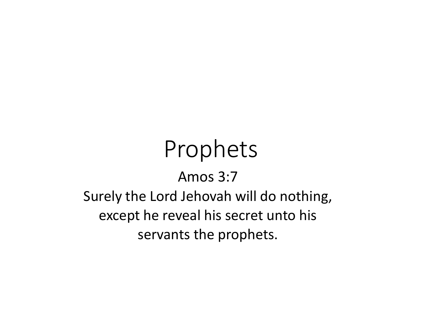# Prophets Amos 3:7 Surely the Lord Jehovah will do nothing, except he reveal his secret unto his servants the prophets.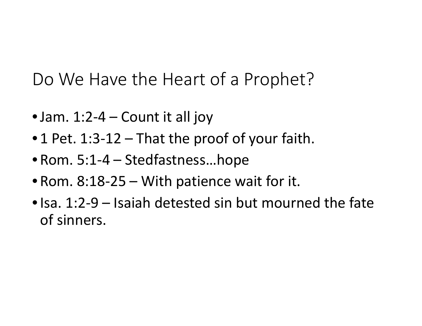Do We Have the Heart of a Prophet?

- Jam.  $1:2-4$  Count it all joy
- 1 Pet. 1:3-12 That the proof of your faith.
- Rom. 5:1-4 Stedfastness…hope
- Rom. 8:18-25 With patience wait for it.
- Isa. 1:2-9 Isaiah detested sin but mourned the fate of sinners.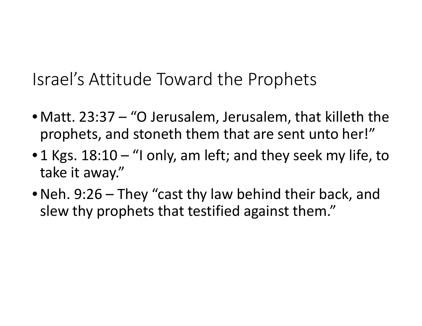Israel's Attitude Toward the Prophets

- Matt. 23:37 "O Jerusalem, Jerusalem, that killeth the prophets, and stoneth them that are sent unto her!"
- 1 Kgs.  $18:10 -$  "I only, am left; and they seek my life, to take it away."
- Neh. 9:26 They "cast thy law behind their back, and slew thy prophets that testified against them."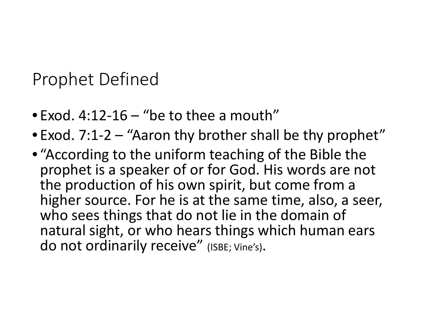Prophet Defined

- Exod.  $4:12-16$  "be to thee a mouth"
- Exod. 7:1-2 "Aaron thy brother shall be thy prophet"
- "According to the uniform teaching of the Bible the prophet is a speaker of or for God. His words are not the production of his own spirit, but come from a higher source. For he is at the same time, also, a seer, who sees things that do not lie in the domain of natural sight, or who hears things which human ears do not ordinarily receive" (ISBE; Vine's).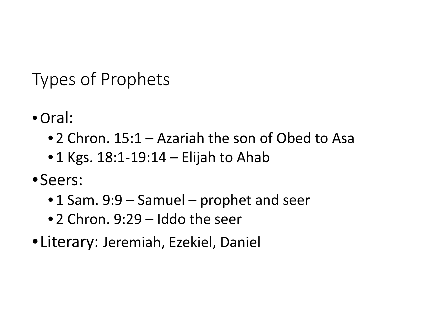Types of Prophets

- •Oral:
	- 2 Chron. 15:1 Azariah the son of Obed to Asa
	- $\bullet$  1 Kgs. 18:1-19:14 Elijah to Ahab
- •Seers:
	- 1 Sam. 9:9 Samuel prophet and seer
	- 2 Chron. 9:29 Iddo the seer
- •Literary: Jeremiah, Ezekiel, Daniel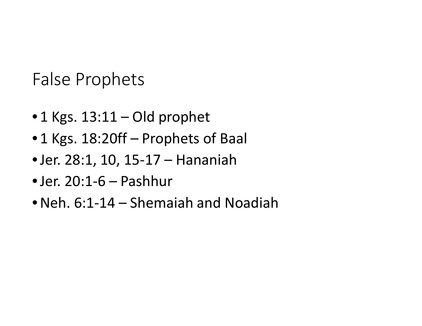False Prophets

- 1 Kgs. 13:11 Old prophet
- 1 Kgs. 18:20ff Prophets of Baal
- •Jer. 28:1, 10, 15-17 Hananiah
- $\bullet$  Jer. 20:1-6 Pashhur
- •Neh. 6:1-14 Shemaiah and Noadiah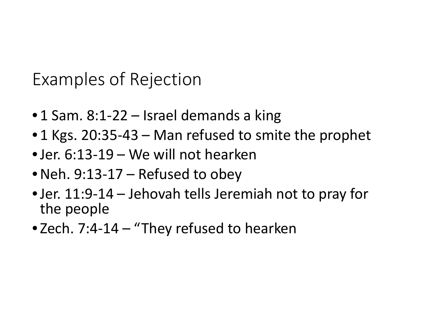Examples of Rejection

- 1 Sam. 8:1-22 Israel demands a king
- 1 Kgs. 20:35-43 Man refused to smite the prophet
- •Jer. 6:13-19 We will not hearken
- •Neh. 9:13-17 Refused to obey
- •Jer. 11:9-14 Jehovah tells Jeremiah not to pray for the people
- Zech. 7:4-14 "They refused to hearken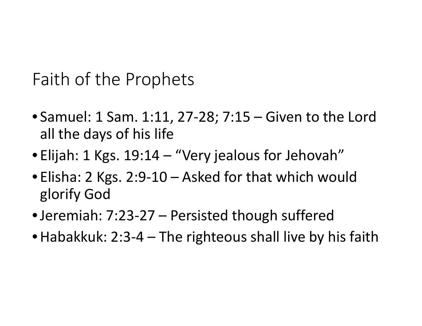Faith of the Prophets

- Samuel: 1 Sam. 1:11, 27-28; 7:15 Given to the Lord all the days of his life
- Elijah: 1 Kgs. 19:14 "Very jealous for Jehovah"
- Elisha: 2 Kgs. 2:9-10 Asked for that which would glorify God
- •Jeremiah: 7:23-27 Persisted though suffered
- Habakkuk: 2:3-4 The righteous shall live by his faith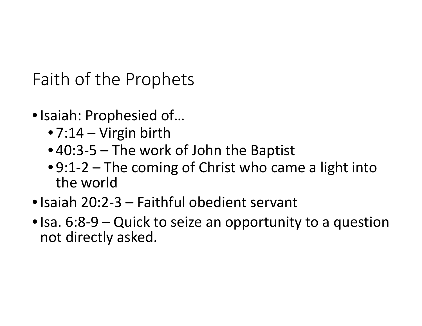Faith of the Prophets

- •Isaiah: Prophesied of…
	- 7:14 Virgin birth
	- 40:3-5 The work of John the Baptist
	- 9:1-2 The coming of Christ who came a light into the world
- •Isaiah 20:2-3 Faithful obedient servant
- Isa. 6:8-9 Quick to seize an opportunity to a question not directly asked.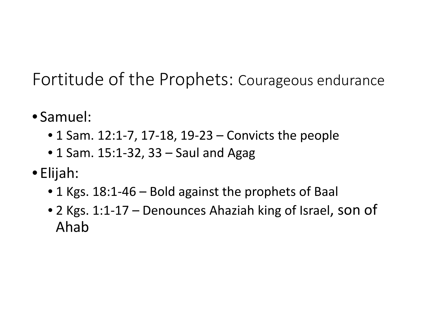Fortitude of the Prophets: Courageous endurance

- Samuel:
	- 1 Sam. 12:1-7, 17-18, 19-23 Convicts the people
	- 1 Sam. 15:1-32, 33 Saul and Agag
- Elijah:
	- 1 Kgs. 18:1-46 Bold against the prophets of Baal
	- 2 Kgs. 1:1-17 Denounces Ahaziah king of Israel, son of Ahab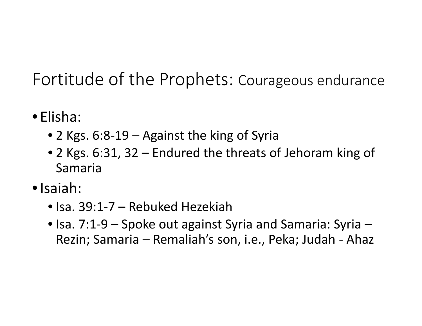Fortitude of the Prophets: Courageous endurance

- Elisha:
	- 2 Kgs. 6:8-19 Against the king of Syria
	- 2 Kgs. 6:31, 32 Endured the threats of Jehoram king of Samaria
- •Isaiah:
	- Isa. 39:1-7 Rebuked Hezekiah
	- Isa. 7:1-9 Spoke out against Syria and Samaria: Syria Rezin; Samaria – Remaliah's son, i.e., Peka; Judah - Ahaz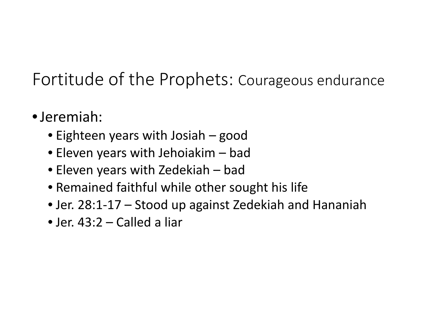### Fortitude of the Prophets: Courageous endurance

- •Jeremiah:
	- Eighteen years with Josiah good
	- Eleven years with Jehoiakim bad
	- Eleven years with Zedekiah bad
	- Remained faithful while other sought his life
	- Jer. 28:1-17 Stood up against Zedekiah and Hananiah
	- Jer. 43:2 Called a liar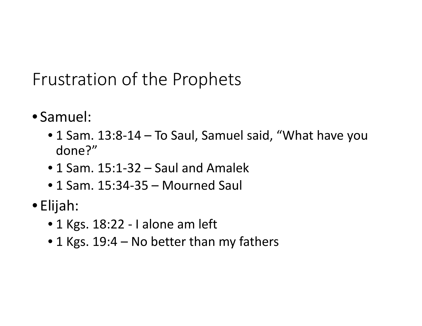- Samuel:
	- 1 Sam. 13:8-14 To Saul, Samuel said, "What have you done?"
	- 1 Sam. 15:1-32 Saul and Amalek
	- 1 Sam. 15:34-35 Mourned Saul
- Elijah:
	- 1 Kgs. 18:22 I alone am left
	- 1 Kgs. 19:4 No better than my fathers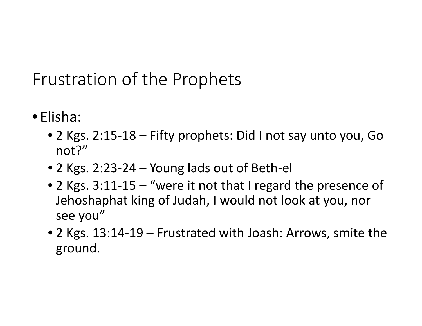- Elisha:
	- 2 Kgs. 2:15-18 Fifty prophets: Did I not say unto you, Go not?"
	- 2 Kgs. 2:23-24 Young lads out of Beth-el
	- 2 Kgs. 3:11-15 "were it not that I regard the presence of Jehoshaphat king of Judah, I would not look at you, nor see you"
	- 2 Kgs. 13:14-19 Frustrated with Joash: Arrows, smite the ground.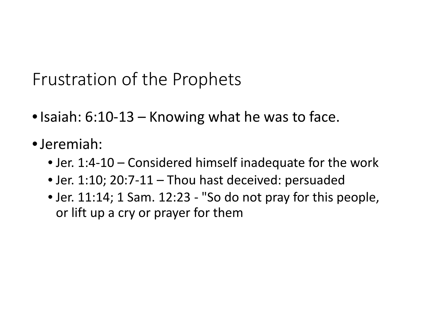- Isaiah: 6:10-13 Knowing what he was to face.
- •Jeremiah:
	- Jer. 1:4-10 Considered himself inadequate for the work
	- Jer. 1:10; 20:7-11 Thou hast deceived: persuaded
	- Jer. 11:14; 1 Sam. 12:23 "So do not pray for this people, or lift up a cry or prayer for them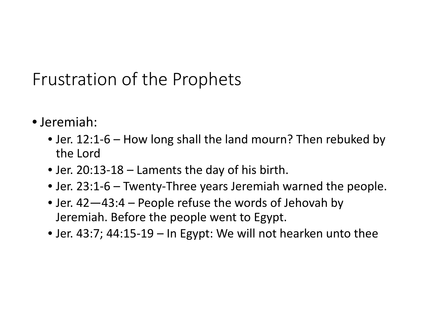- Jeremiah:
	- Jer. 12:1-6 How long shall the land mourn? Then rebuked by the Lord
	- Jer. 20:13-18 Laments the day of his birth.
	- Jer. 23:1-6 Twenty-Three years Jeremiah warned the people.
	- Jer. 42—43:4 People refuse the words of Jehovah by Jeremiah. Before the people went to Egypt.
	- Jer. 43:7; 44:15-19 In Egypt: We will not hearken unto thee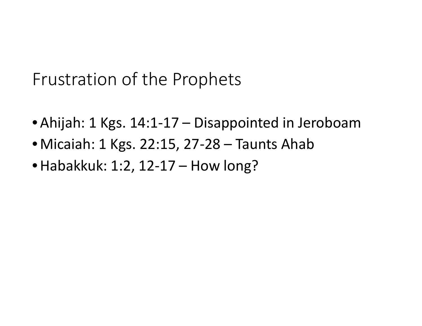- Ahijah: 1 Kgs. 14:1-17 Disappointed in Jeroboam
- Micaiah: 1 Kgs. 22:15, 27-28 Taunts Ahab
- Habakkuk: 1:2, 12-17 How long?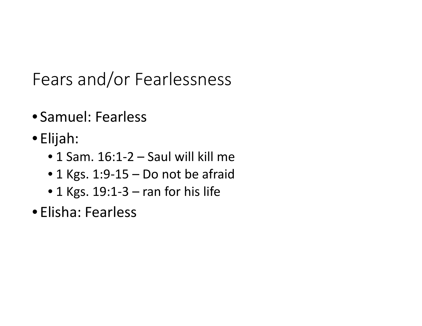Fears and/or Fearlessness

- Samuel: Fearless
- Elijah:
	- $\bullet$  1 Sam. 16:1-2 Saul will kill me
	- 1 Kgs. 1:9-15 Do not be afraid
	- $\bullet$  1 Kgs. 19:1-3 ran for his life
- Elisha: Fearless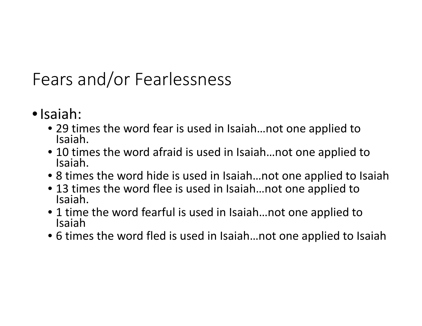## Fears and/or Fearlessness

- •Isaiah:
	- 29 times the word fear is used in Isaiah…not one applied to Isaiah.
	- 10 times the word afraid is used in Isaiah...not one applied to Isaiah.
	- 8 times the word hide is used in Isaiah...not one applied to Isaiah
	- 13 times the word flee is used in Isaiah...not one applied to Isaiah.
	- 1 time the word fearful is used in Isaiah...not one applied to Isaiah
	- 6 times the word fled is used in Isaiah…not one applied to Isaiah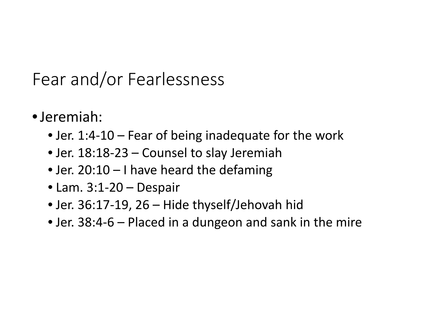#### Fear and/or Fearlessness

- •Jeremiah:
	- Jer. 1:4-10 Fear of being inadequate for the work
	- Jer. 18:18-23 Counsel to slay Jeremiah
	- Jer. 20:10 I have heard the defaming
	- Lam. 3:1-20 Despair
	- Jer. 36:17-19, 26 Hide thyself/Jehovah hid
	- Jer. 38:4-6 Placed in a dungeon and sank in the mire